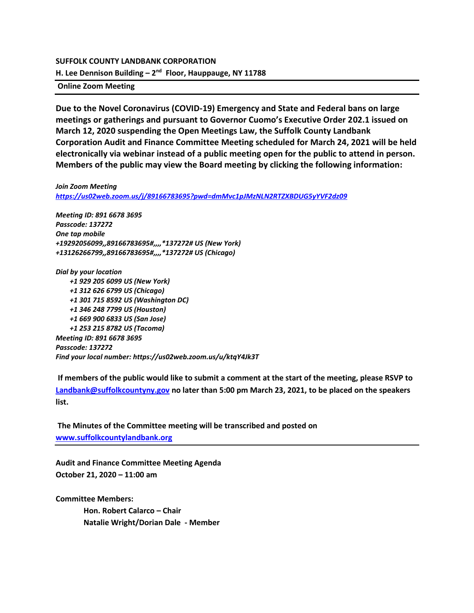#### **SUFFOLK COUNTY LANDBANK CORPORATION**

**H. Lee Dennison Building – 2 nd Floor, Hauppauge, NY 11788**

**Online Zoom Meeting** 

**Due to the Novel Coronavirus (COVID-19) Emergency and State and Federal bans on large meetings or gatherings and pursuant to Governor Cuomo's Executive Order 202.1 issued on March 12, 2020 suspending the Open Meetings Law, the Suffolk County Landbank Corporation Audit and Finance Committee Meeting scheduled for March 24, 2021 will be held electronically via webinar instead of a public meeting open for the public to attend in person. Members of the public may view the Board meeting by clicking the following information:**

*Join Zoom Meeting <https://us02web.zoom.us/j/89166783695?pwd=dmMvc1pJMzNLN2RTZXBDUG5yYVF2dz09>*

*Meeting ID: 891 6678 3695 Passcode: 137272 One tap mobile +19292056099,,89166783695#,,,,\*137272# US (New York) +13126266799,,89166783695#,,,,\*137272# US (Chicago)*

*Dial by your location +1 929 205 6099 US (New York) +1 312 626 6799 US (Chicago) +1 301 715 8592 US (Washington DC) +1 346 248 7799 US (Houston) +1 669 900 6833 US (San Jose) +1 253 215 8782 US (Tacoma) Meeting ID: 891 6678 3695 Passcode: 137272 Find your local number: https://us02web.zoom.us/u/ktqY4Jk3T*

**If members of the public would like to submit a comment at the start of the meeting, please RSVP to [Landbank@suffolkcountyny.gov](mailto:Landbank@suffolkcountyny.gov) no later than 5:00 pm March 23, 2021, to be placed on the speakers list.** 

**The Minutes of the Committee meeting will be transcribed and posted on [www.suffolkcountylandbank.org](http://www.suffolkcountylandbank.org/)**

**Audit and Finance Committee Meeting Agenda October 21, 2020 – 11:00 am**

**Committee Members:**

**Hon. Robert Calarco – Chair Natalie Wright/Dorian Dale - Member**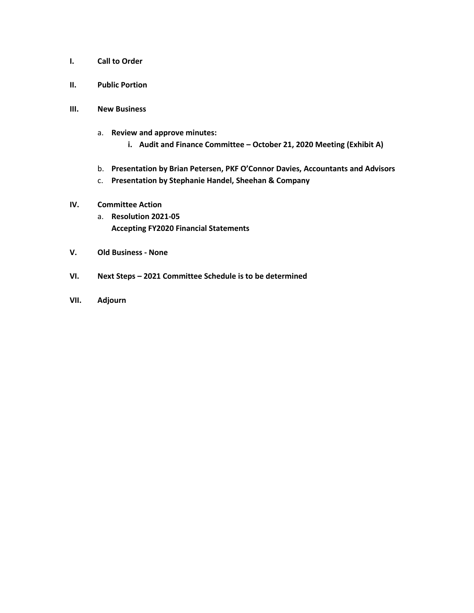- **I. Call to Order**
- **II. Public Portion**
- **III. New Business**
	- a. **Review and approve minutes:** 
		- **i. Audit and Finance Committee – October 21, 2020 Meeting (Exhibit A)**
	- b. **Presentation by Brian Petersen, PKF O'Connor Davies, Accountants and Advisors**
	- c. **Presentation by Stephanie Handel, Sheehan & Company**

# **IV. Committee Action**

- a. **Resolution 2021-05 Accepting FY2020 Financial Statements**
- **V. Old Business - None**
- **VI. Next Steps – 2021 Committee Schedule is to be determined**
- **VII. Adjourn**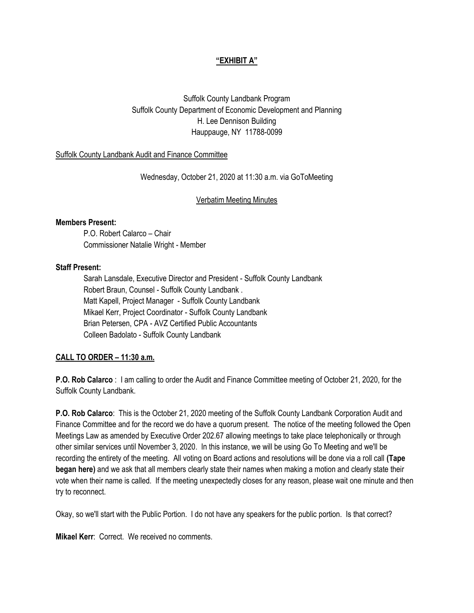# **"EXHIBIT A"**

Suffolk County Landbank Program Suffolk County Department of Economic Development and Planning H. Lee Dennison Building Hauppauge, NY 11788-0099

#### Suffolk County Landbank Audit and Finance Committee

Wednesday, October 21, 2020 at 11:30 a.m. via GoToMeeting

Verbatim Meeting Minutes

#### **Members Present:**

P.O. Robert Calarco – Chair Commissioner Natalie Wright - Member

#### **Staff Present:**

Sarah Lansdale, Executive Director and President - Suffolk County Landbank Robert Braun, Counsel - Suffolk County Landbank . Matt Kapell, Project Manager - Suffolk County Landbank Mikael Kerr, Project Coordinator - Suffolk County Landbank Brian Petersen, CPA - AVZ Certified Public Accountants Colleen Badolato - Suffolk County Landbank

### **CALL TO ORDER – 11:30 a.m.**

**P.O. Rob Calarco** : I am calling to order the Audit and Finance Committee meeting of October 21, 2020, for the Suffolk County Landbank.

**P.O. Rob Calarco**: This is the October 21, 2020 meeting of the Suffolk County Landbank Corporation Audit and Finance Committee and for the record we do have a quorum present. The notice of the meeting followed the Open Meetings Law as amended by Executive Order 202.67 allowing meetings to take place telephonically or through other similar services until November 3, 2020. In this instance, we will be using Go To Meeting and we'll be recording the entirety of the meeting. All voting on Board actions and resolutions will be done via a roll call **(Tape began here)** and we ask that all members clearly state their names when making a motion and clearly state their vote when their name is called. If the meeting unexpectedly closes for any reason, please wait one minute and then try to reconnect.

Okay, so we'll start with the Public Portion. I do not have any speakers for the public portion. Is that correct?

**Mikael Kerr**: Correct. We received no comments.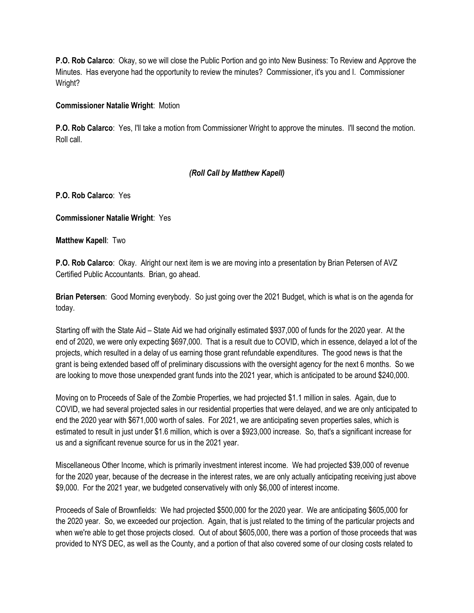**P.O. Rob Calarco**: Okay, so we will close the Public Portion and go into New Business: To Review and Approve the Minutes. Has everyone had the opportunity to review the minutes? Commissioner, it's you and I. Commissioner Wright?

# **Commissioner Natalie Wright**: Motion

**P.O. Rob Calarco**: Yes, I'll take a motion from Commissioner Wright to approve the minutes. I'll second the motion. Roll call.

# *(Roll Call by Matthew Kapell)*

**P.O. Rob Calarco**: Yes

**Commissioner Natalie Wright**: Yes

**Matthew Kapell**: Two

**P.O. Rob Calarco**: Okay. Alright our next item is we are moving into a presentation by Brian Petersen of AVZ Certified Public Accountants. Brian, go ahead.

**Brian Petersen**: Good Morning everybody. So just going over the 2021 Budget, which is what is on the agenda for today.

Starting off with the State Aid – State Aid we had originally estimated \$937,000 of funds for the 2020 year. At the end of 2020, we were only expecting \$697,000. That is a result due to COVID, which in essence, delayed a lot of the projects, which resulted in a delay of us earning those grant refundable expenditures. The good news is that the grant is being extended based off of preliminary discussions with the oversight agency for the next 6 months. So we are looking to move those unexpended grant funds into the 2021 year, which is anticipated to be around \$240,000.

Moving on to Proceeds of Sale of the Zombie Properties, we had projected \$1.1 million in sales. Again, due to COVID, we had several projected sales in our residential properties that were delayed, and we are only anticipated to end the 2020 year with \$671,000 worth of sales. For 2021, we are anticipating seven properties sales, which is estimated to result in just under \$1.6 million, which is over a \$923,000 increase. So, that's a significant increase for us and a significant revenue source for us in the 2021 year.

Miscellaneous Other Income, which is primarily investment interest income. We had projected \$39,000 of revenue for the 2020 year, because of the decrease in the interest rates, we are only actually anticipating receiving just above \$9,000. For the 2021 year, we budgeted conservatively with only \$6,000 of interest income.

Proceeds of Sale of Brownfields: We had projected \$500,000 for the 2020 year. We are anticipating \$605,000 for the 2020 year. So, we exceeded our projection. Again, that is just related to the timing of the particular projects and when we're able to get those projects closed. Out of about \$605,000, there was a portion of those proceeds that was provided to NYS DEC, as well as the County, and a portion of that also covered some of our closing costs related to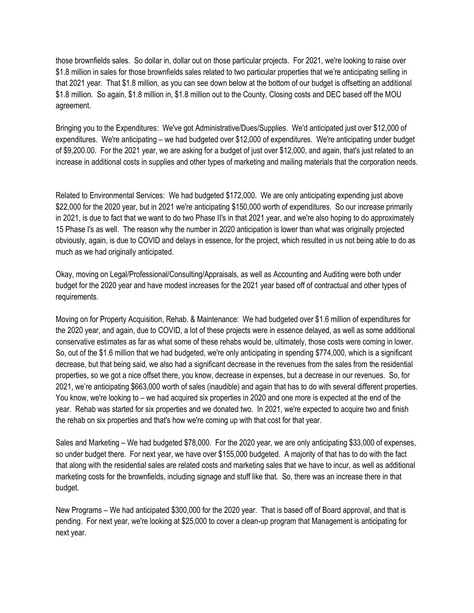those brownfields sales. So dollar in, dollar out on those particular projects. For 2021, we're looking to raise over \$1.8 million in sales for those brownfields sales related to two particular properties that we're anticipating selling in that 2021 year. That \$1.8 million, as you can see down below at the bottom of our budget is offsetting an additional \$1.8 million. So again, \$1.8 million in, \$1.8 million out to the County, Closing costs and DEC based off the MOU agreement.

Bringing you to the Expenditures: We've got Administrative/Dues/Supplies. We'd anticipated just over \$12,000 of expenditures. We're anticipating – we had budgeted over \$12,000 of expenditures. We're anticipating under budget of \$9,200.00. For the 2021 year, we are asking for a budget of just over \$12,000, and again, that's just related to an increase in additional costs in supplies and other types of marketing and mailing materials that the corporation needs.

Related to Environmental Services: We had budgeted \$172,000. We are only anticipating expending just above \$22,000 for the 2020 year, but in 2021 we're anticipating \$150,000 worth of expenditures. So our increase primarily in 2021, is due to fact that we want to do two Phase II's in that 2021 year, and we're also hoping to do approximately 15 Phase I's as well. The reason why the number in 2020 anticipation is lower than what was originally projected obviously, again, is due to COVID and delays in essence, for the project, which resulted in us not being able to do as much as we had originally anticipated.

Okay, moving on Legal/Professional/Consulting/Appraisals, as well as Accounting and Auditing were both under budget for the 2020 year and have modest increases for the 2021 year based off of contractual and other types of requirements.

Moving on for Property Acquisition, Rehab. & Maintenance: We had budgeted over \$1.6 million of expenditures for the 2020 year, and again, due to COVID, a lot of these projects were in essence delayed, as well as some additional conservative estimates as far as what some of these rehabs would be, ultimately, those costs were coming in lower. So, out of the \$1.6 million that we had budgeted, we're only anticipating in spending \$774,000, which is a significant decrease, but that being said, we also had a significant decrease in the revenues from the sales from the residential properties, so we got a nice offset there, you know, decrease in expenses, but a decrease in our revenues. So, for 2021, we're anticipating \$663,000 worth of sales (inaudible) and again that has to do with several different properties. You know, we're looking to – we had acquired six properties in 2020 and one more is expected at the end of the year. Rehab was started for six properties and we donated two. In 2021, we're expected to acquire two and finish the rehab on six properties and that's how we're coming up with that cost for that year.

Sales and Marketing – We had budgeted \$78,000. For the 2020 year, we are only anticipating \$33,000 of expenses, so under budget there. For next year, we have over \$155,000 budgeted. A majority of that has to do with the fact that along with the residential sales are related costs and marketing sales that we have to incur, as well as additional marketing costs for the brownfields, including signage and stuff like that. So, there was an increase there in that budget.

New Programs – We had anticipated \$300,000 for the 2020 year. That is based off of Board approval, and that is pending. For next year, we're looking at \$25,000 to cover a clean-up program that Management is anticipating for next year.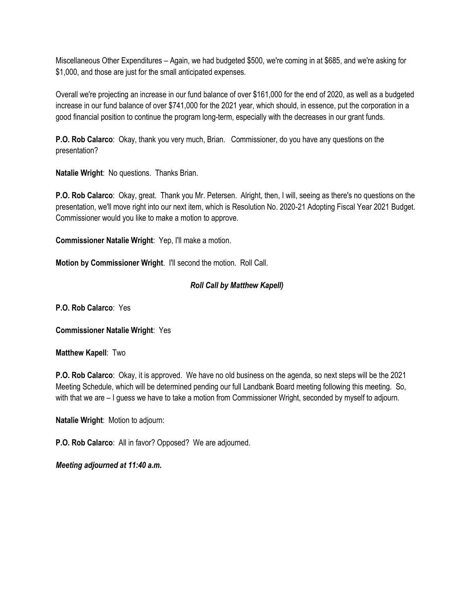Miscellaneous Other Expenditures – Again, we had budgeted \$500, we're coming in at \$685, and we're asking for \$1,000, and those are just for the small anticipated expenses.

Overall we're projecting an increase in our fund balance of over \$161,000 for the end of 2020, as well as a budgeted increase in our fund balance of over \$741,000 for the 2021 year, which should, in essence, put the corporation in a good financial position to continue the program long-term, especially with the decreases in our grant funds.

**P.O. Rob Calarco**: Okay, thank you very much, Brian. Commissioner, do you have any questions on the presentation?

**Natalie Wright**: No questions. Thanks Brian.

**P.O. Rob Calarco**: Okay, great. Thank you Mr. Petersen. Alright, then, I will, seeing as there's no questions on the presentation, we'll move right into our next item, which is Resolution No. 2020-21 Adopting Fiscal Year 2021 Budget. Commissioner would you like to make a motion to approve.

**Commissioner Natalie Wright**: Yep, I'll make a motion.

**Motion by Commissioner Wright**. I'll second the motion. Roll Call.

# *Roll Call by Matthew Kapell)*

**P.O. Rob Calarco**: Yes

**Commissioner Natalie Wright**: Yes

**Matthew Kapell**: Two

**P.O. Rob Calarco**: Okay, it is approved. We have no old business on the agenda, so next steps will be the 2021 Meeting Schedule, which will be determined pending our full Landbank Board meeting following this meeting. So, with that we are – I guess we have to take a motion from Commissioner Wright, seconded by myself to adjourn.

**Natalie Wright**: Motion to adjourn:

**P.O. Rob Calarco**: All in favor? Opposed? We are adjourned.

*Meeting adjourned at 11:40 a.m.*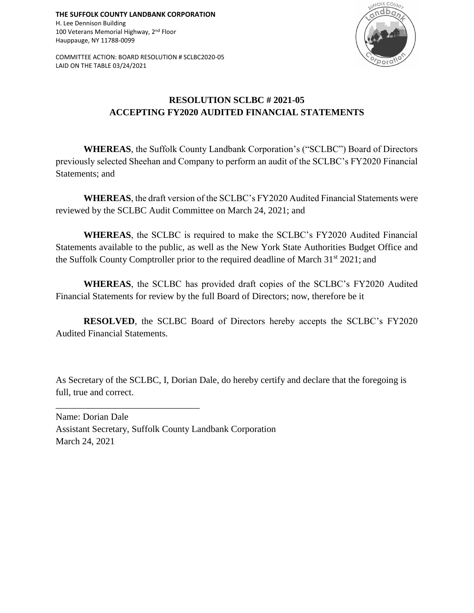**THE SUFFOLK COUNTY LANDBANK CORPORATION** H. Lee Dennison Building 100 Veterans Memorial Highway, 2<sup>nd</sup> Floor Hauppauge, NY 11788-0099

COMMITTEE ACTION: BOARD RESOLUTION # SCLBC2020-05 LAID ON THE TABLE 03/24/2021



# **RESOLUTION SCLBC # 2021-05 ACCEPTING FY2020 AUDITED FINANCIAL STATEMENTS**

**WHEREAS**, the Suffolk County Landbank Corporation's ("SCLBC") Board of Directors previously selected Sheehan and Company to perform an audit of the SCLBC's FY2020 Financial Statements; and

**WHEREAS**, the draft version of the SCLBC's FY2020 Audited Financial Statements were reviewed by the SCLBC Audit Committee on March 24, 2021; and

**WHEREAS**, the SCLBC is required to make the SCLBC's FY2020 Audited Financial Statements available to the public, as well as the New York State Authorities Budget Office and the Suffolk County Comptroller prior to the required deadline of March 31<sup>st</sup> 2021; and

**WHEREAS**, the SCLBC has provided draft copies of the SCLBC's FY2020 Audited Financial Statements for review by the full Board of Directors; now, therefore be it

**RESOLVED**, the SCLBC Board of Directors hereby accepts the SCLBC's FY2020 Audited Financial Statements.

As Secretary of the SCLBC, I, Dorian Dale, do hereby certify and declare that the foregoing is full, true and correct.

Name: Dorian Dale Assistant Secretary, Suffolk County Landbank Corporation March 24, 2021

\_\_\_\_\_\_\_\_\_\_\_\_\_\_\_\_\_\_\_\_\_\_\_\_\_\_\_\_\_\_\_